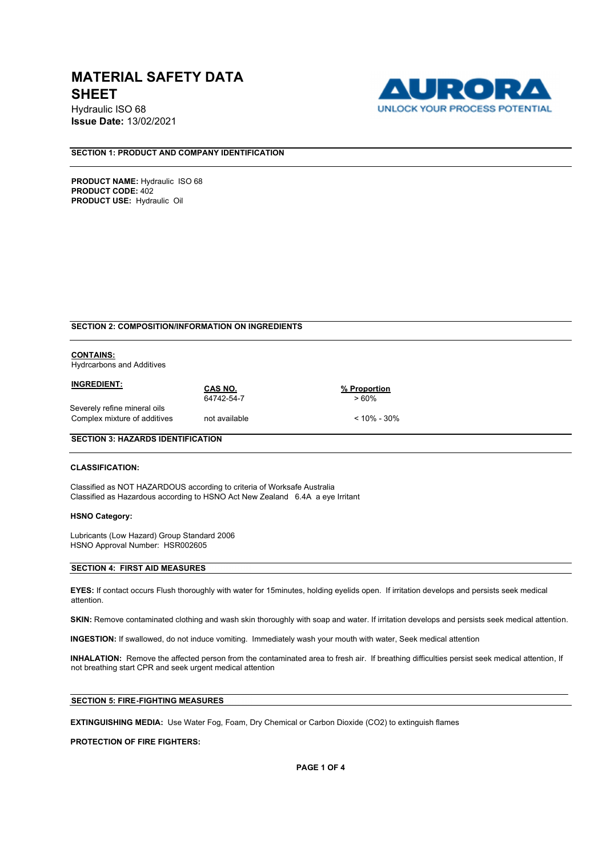Hydraulic ISO 68 **Issue Date:** 13/02/2021



## **SECTION 1: PRODUCT AND COMPANY IDENTIFICATION**

**PRODUCT NAME: Hydraulic ISO 68 PRODUCT CODE:** 402 **PRODUCT USE:** Hydraulic Oil

### **SECTION 2: COMPOSITION/INFORMATION ON INGREDIENTS**

## **CONTAINS:**

Hydrcarbons and Additives

| <b>INGREDIENT:</b>           | CAS NO.       | % Proportion    |  |
|------------------------------|---------------|-----------------|--|
|                              | 64742-54-7    | >60%            |  |
| Severely refine mineral oils |               |                 |  |
| Complex mixture of additives | not available | $< 10\% - 30\%$ |  |

### **SECTION 3: HAZARDS IDENTIFICATION**

### **CLASSIFICATION:**

Classified as NOT HAZARDOUS according to criteria of Worksafe Australia Classified as Hazardous according to HSNO Act New Zealand 6.4A a eye Irritant

#### **HSNO Category:**

Lubricants (Low Hazard) Group Standard 2006 HSNO Approval Number: HSR002605

#### **SECTION 4: FIRST AID MEASURES**

**EYES:** If contact occurs Flush thoroughly with water for 15minutes, holding eyelids open. If irritation develops and persists seek medical attention.

**SKIN:** Remove contaminated clothing and wash skin thoroughly with soap and water. If irritation develops and persists seek medical attention.

**INGESTION:** If swallowed, do not induce vomiting. Immediately wash your mouth with water, Seek medical attention

**INHALATION:** Remove the affected person from the contaminated area to fresh air. If breathing difficulties persist seek medical attention, If not breathing start CPR and seek urgent medical attention

## **SECTION 5: FIRE-FIGHTING MEASURES**

**EXTINGUISHING MEDIA:** Use Water Fog, Foam, Dry Chemical or Carbon Dioxide (CO2) to extinguish flames

**PROTECTION OF FIRE FIGHTERS:**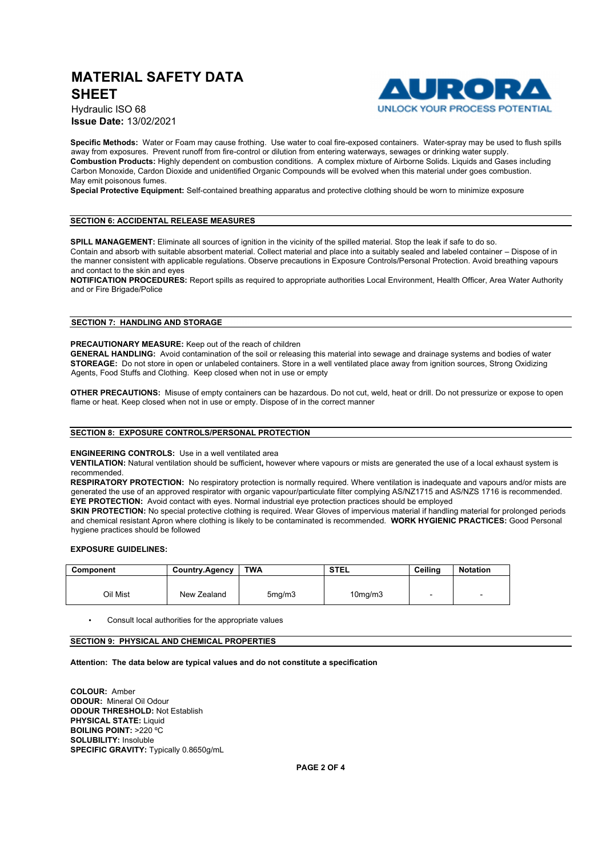

Hydraulic ISO 68 **Issue Date:** 13/02/2021

**Specific Methods:** Water or Foam may cause frothing. Use water to coal fire-exposed containers. Water-spray may be used to flush spills away from exposures. Prevent runoff from fire-control or dilution from entering waterways, sewages or drinking water supply. **Combustion Products:** Highly dependent on combustion conditions. A complex mixture of Airborne Solids. Liquids and Gases including Carbon Monoxide, Cardon Dioxide and unidentified Organic Compounds will be evolved when this material under goes combustion. May emit poisonous fumes.

**Special Protective Equipment:** Self-contained breathing apparatus and protective clothing should be worn to minimize exposure

#### **SECTION 6: ACCIDENTAL RELEASE MEASURES**

**SPILL MANAGEMENT:** Eliminate all sources of ignition in the vicinity of the spilled material. Stop the leak if safe to do so.

Contain and absorb with suitable absorbent material. Collect material and place into a suitably sealed and labeled container – Dispose of in the manner consistent with applicable regulations. Observe precautions in Exposure Controls/Personal Protection. Avoid breathing vapours and contact to the skin and eyes

**NOTIFICATION PROCEDURES:** Report spills as required to appropriate authorities Local Environment, Health Officer, Area Water Authority and or Fire Brigade/Police

#### **SECTION 7: HANDLING AND STORAGE**

**PRECAUTIONARY MEASURE:** Keep out of the reach of children

**GENERAL HANDLING:** Avoid contamination of the soil or releasing this material into sewage and drainage systems and bodies of water **STOREAGE:** Do not store in open or unlabeled containers. Store in a well ventilated place away from ignition sources, Strong Oxidizing Agents, Food Stuffs and Clothing. Keep closed when not in use or empty

**OTHER PRECAUTIONS:** Misuse of empty containers can be hazardous. Do not cut, weld, heat or drill. Do not pressurize or expose to open flame or heat. Keep closed when not in use or empty. Dispose of in the correct manner

#### **SECTION 8: EXPOSURE CONTROLS/PERSONAL PROTECTION**

#### **ENGINEERING CONTROLS:** Use in a well ventilated area

**VENTILATION:** Natural ventilation should be sufficient**,** however where vapours or mists are generated the use of a local exhaust system is recommended.

**RESPIRATORY PROTECTION:** No respiratory protection is normally required. Where ventilation is inadequate and vapours and/or mists are generated the use of an approved respirator with organic vapour/particulate filter complying AS/NZ1715 and AS/NZS 1716 is recommended. **EYE PROTECTION:** Avoid contact with eyes. Normal industrial eye protection practices should be employed

**SKIN PROTECTION:** No special protective clothing is required. Wear Gloves of impervious material if handling material for prolonged periods and chemical resistant Apron where clothing is likely to be contaminated is recommended. **WORK HYGIENIC PRACTICES:** Good Personal hygiene practices should be followed

#### **EXPOSURE GUIDELINES:**

| Component | <b>Country.Agency</b> | <b>TWA</b>          | <b>STEL</b>          | Ceilina                  | <b>Notation</b>          |
|-----------|-----------------------|---------------------|----------------------|--------------------------|--------------------------|
|           |                       |                     |                      |                          |                          |
| Oil Mist  | New Zealand           | 5 <sub>mq</sub> /m3 | 10 <sub>mq</sub> /m3 | $\overline{\phantom{a}}$ | $\overline{\phantom{0}}$ |

• Consult local authorities for the appropriate values

## **SECTION 9: PHYSICAL AND CHEMICAL PROPERTIES**

#### **Attention: The data below are typical values and do not constitute a specification**

**COLOUR:** Amber **ODOUR:** Mineral Oil Odour **ODOUR THRESHOLD:** Not Establish **PHYSICAL STATE: Liquid BOILING POINT:** >220 ºC **SOLUBILITY:** Insoluble **SPECIFIC GRAVITY:** Typically 0.8650g/mL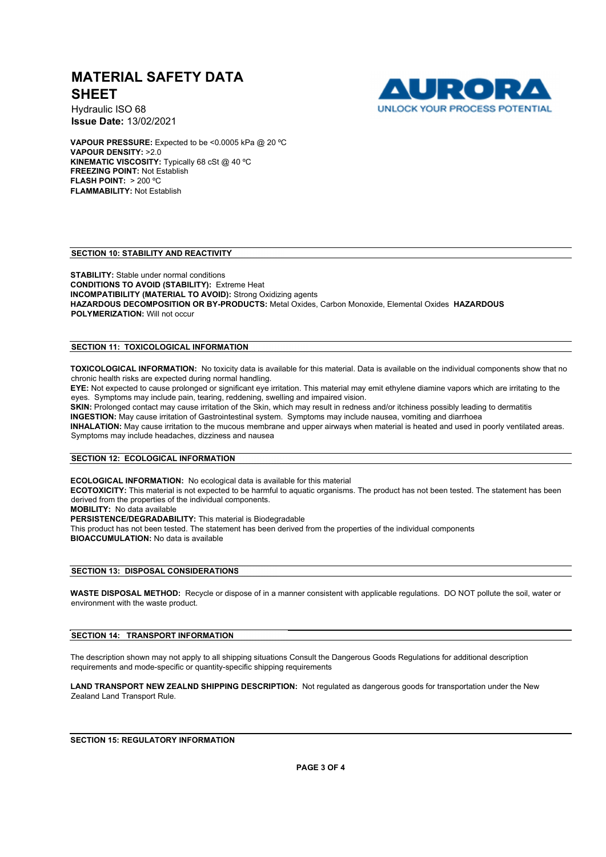

Hydraulic ISO 68 **Issue Date:** 13/02/2021

**VAPOUR PRESSURE:** Expected to be <0.0005 kPa @ 20 ºC **VAPOUR DENSITY:** >2.0 **KINEMATIC VISCOSITY:** Typically 68 cSt @ 40 ºC **FREEZING POINT:** Not Establish **FLASH POINT:** > 200 ºC **FLAMMABILITY:** Not Establish

### **SECTION 10: STABILITY AND REACTIVITY**

**STABILITY:** Stable under normal conditions **CONDITIONS TO AVOID (STABILITY):** Extreme Heat **INCOMPATIBILITY (MATERIAL TO AVOID):** Strong Oxidizing agents **HAZARDOUS DECOMPOSITION OR BY-PRODUCTS:** Metal Oxides, Carbon Monoxide, Elemental Oxides **HAZARDOUS POLYMERIZATION:** Will not occur

## **SECTION 11: TOXICOLOGICAL INFORMATION**

**TOXICOLOGICAL INFORMATION:** No toxicity data is available for this material. Data is available on the individual components show that no chronic health risks are expected during normal handling.

**EYE:** Not expected to cause prolonged or significant eye irritation. This material may emit ethylene diamine vapors which are irritating to the eyes. Symptoms may include pain, tearing, reddening, swelling and impaired vision.

**SKIN:** Prolonged contact may cause irritation of the Skin, which may result in redness and/or itchiness possibly leading to dermatitis **INGESTION:** May cause irritation of Gastrointestinal system. Symptoms may include nausea, vomiting and diarrhoea **INHALATION:** May cause irritation to the mucous membrane and upper airways when material is heated and used in poorly ventilated areas. Symptoms may include headaches, dizziness and nausea

#### **SECTION 12: ECOLOGICAL INFORMATION**

**ECOLOGICAL INFORMATION:** No ecological data is available for this material

**ECOTOXICITY:** This material is not expected to be harmful to aquatic organisms. The product has not been tested. The statement has been derived from the properties of the individual components.

**MOBILITY:** No data available

**PERSISTENCE/DEGRADABILITY:** This material is Biodegradable

This product has not been tested. The statement has been derived from the properties of the individual components **BIOACCUMULATION:** No data is available

#### **SECTION 13: DISPOSAL CONSIDERATIONS**

**WASTE DISPOSAL METHOD:** Recycle or dispose of in a manner consistent with applicable regulations. DO NOT pollute the soil, water or environment with the waste product.

#### **SECTION 14: TRANSPORT INFORMATION**

The description shown may not apply to all shipping situations Consult the Dangerous Goods Regulations for additional description requirements and mode-specific or quantity-specific shipping requirements

**LAND TRANSPORT NEW ZEALND SHIPPING DESCRIPTION:** Not regulated as dangerous goods for transportation under the New Zealand Land Transport Rule.

**SECTION 15: REGULATORY INFORMATION**